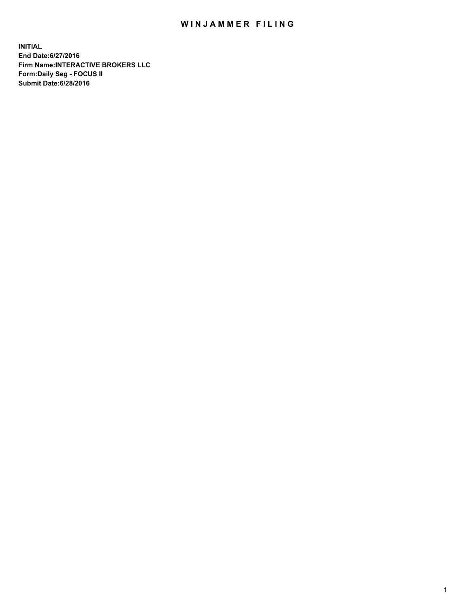## WIN JAMMER FILING

**INITIAL End Date:6/27/2016 Firm Name:INTERACTIVE BROKERS LLC Form:Daily Seg - FOCUS II Submit Date:6/28/2016**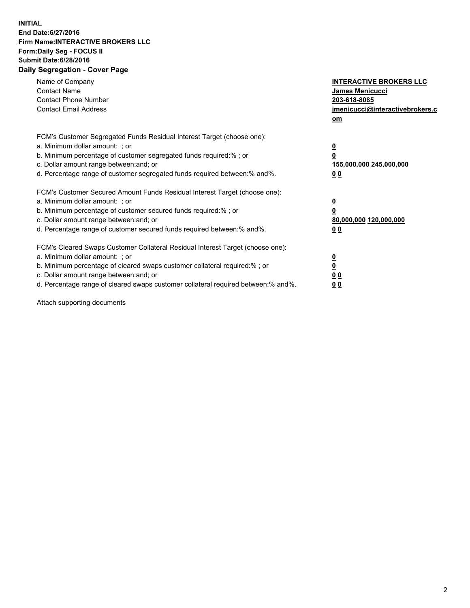## **INITIAL End Date:6/27/2016 Firm Name:INTERACTIVE BROKERS LLC Form:Daily Seg - FOCUS II Submit Date:6/28/2016 Daily Segregation - Cover Page**

| Name of Company<br><b>Contact Name</b><br><b>Contact Phone Number</b><br><b>Contact Email Address</b>                                                                                                                                                                                                                          | <b>INTERACTIVE BROKERS LLC</b><br>James Menicucci<br>203-618-8085<br>jmenicucci@interactivebrokers.c<br>om |
|--------------------------------------------------------------------------------------------------------------------------------------------------------------------------------------------------------------------------------------------------------------------------------------------------------------------------------|------------------------------------------------------------------------------------------------------------|
| FCM's Customer Segregated Funds Residual Interest Target (choose one):<br>a. Minimum dollar amount: ; or<br>b. Minimum percentage of customer segregated funds required:%; or<br>c. Dollar amount range between: and; or<br>d. Percentage range of customer segregated funds required between:% and%.                          | $\overline{\mathbf{0}}$<br>0<br>155,000,000 245,000,000<br>0 <sub>0</sub>                                  |
| FCM's Customer Secured Amount Funds Residual Interest Target (choose one):<br>a. Minimum dollar amount: ; or<br>b. Minimum percentage of customer secured funds required:%; or<br>c. Dollar amount range between: and; or<br>d. Percentage range of customer secured funds required between:% and%.                            | $\overline{\mathbf{0}}$<br>$\overline{\mathbf{0}}$<br>80,000,000 120,000,000<br>00                         |
| FCM's Cleared Swaps Customer Collateral Residual Interest Target (choose one):<br>a. Minimum dollar amount: ; or<br>b. Minimum percentage of cleared swaps customer collateral required:% ; or<br>c. Dollar amount range between: and; or<br>d. Percentage range of cleared swaps customer collateral required between:% and%. | $\overline{\mathbf{0}}$<br>$\overline{\mathbf{0}}$<br>0 <sub>0</sub><br><u>00</u>                          |

Attach supporting documents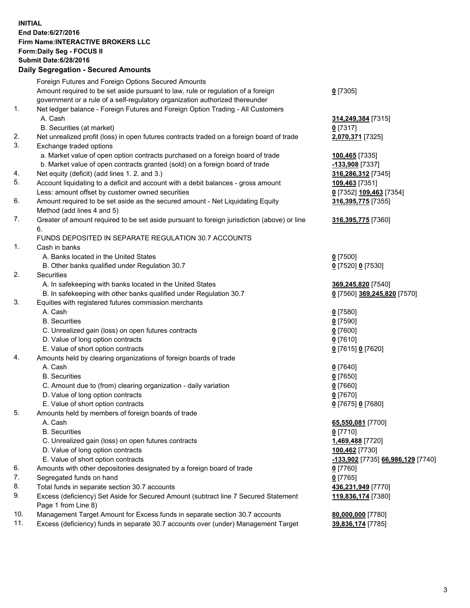## **INITIAL End Date:6/27/2016 Firm Name:INTERACTIVE BROKERS LLC Form:Daily Seg - FOCUS II Submit Date:6/28/2016 Daily Segregation - Secured Amounts**

|     | Foreign Futures and Foreign Options Secured Amounts                                         |                                   |
|-----|---------------------------------------------------------------------------------------------|-----------------------------------|
|     | Amount required to be set aside pursuant to law, rule or regulation of a foreign            | $0$ [7305]                        |
|     | government or a rule of a self-regulatory organization authorized thereunder                |                                   |
| 1.  | Net ledger balance - Foreign Futures and Foreign Option Trading - All Customers             |                                   |
|     | A. Cash                                                                                     | 314,249,384 [7315]                |
|     | B. Securities (at market)                                                                   | $0$ [7317]                        |
| 2.  | Net unrealized profit (loss) in open futures contracts traded on a foreign board of trade   | 2,070,371 [7325]                  |
| 3.  | Exchange traded options                                                                     |                                   |
|     | a. Market value of open option contracts purchased on a foreign board of trade              | 100,465 [7335]                    |
|     | b. Market value of open contracts granted (sold) on a foreign board of trade                | -133,908 [7337]                   |
| 4.  | Net equity (deficit) (add lines 1.2. and 3.)                                                | 316,286,312 [7345]                |
| 5.  | Account liquidating to a deficit and account with a debit balances - gross amount           | 109,463 [7351]                    |
|     | Less: amount offset by customer owned securities                                            |                                   |
| 6.  |                                                                                             | 0 [7352] 109,463 [7354]           |
|     | Amount required to be set aside as the secured amount - Net Liquidating Equity              | 316,395,775 [7355]                |
|     | Method (add lines 4 and 5)                                                                  |                                   |
| 7.  | Greater of amount required to be set aside pursuant to foreign jurisdiction (above) or line | 316,395,775 [7360]                |
|     | 6.                                                                                          |                                   |
|     | FUNDS DEPOSITED IN SEPARATE REGULATION 30.7 ACCOUNTS                                        |                                   |
| 1.  | Cash in banks                                                                               |                                   |
|     | A. Banks located in the United States                                                       | $0$ [7500]                        |
|     | B. Other banks qualified under Regulation 30.7                                              | 0 [7520] 0 [7530]                 |
| 2.  | Securities                                                                                  |                                   |
|     | A. In safekeeping with banks located in the United States                                   | 369,245,820 [7540]                |
|     | B. In safekeeping with other banks qualified under Regulation 30.7                          | 0 [7560] 369,245,820 [7570]       |
| 3.  | Equities with registered futures commission merchants                                       |                                   |
|     | A. Cash                                                                                     | $0$ [7580]                        |
|     | <b>B.</b> Securities                                                                        | $0$ [7590]                        |
|     | C. Unrealized gain (loss) on open futures contracts                                         | $0$ [7600]                        |
|     | D. Value of long option contracts                                                           | $0$ [7610]                        |
|     | E. Value of short option contracts                                                          | 0 [7615] 0 [7620]                 |
| 4.  | Amounts held by clearing organizations of foreign boards of trade                           |                                   |
|     | A. Cash                                                                                     | $0$ [7640]                        |
|     | <b>B.</b> Securities                                                                        | $0$ [7650]                        |
|     | C. Amount due to (from) clearing organization - daily variation                             | $0$ [7660]                        |
|     | D. Value of long option contracts                                                           | $0$ [7670]                        |
|     | E. Value of short option contracts                                                          | 0 [7675] 0 [7680]                 |
| 5.  | Amounts held by members of foreign boards of trade                                          |                                   |
|     | A. Cash                                                                                     | 65,550,081 [7700]                 |
|     | <b>B.</b> Securities                                                                        | $0$ [7710]                        |
|     | C. Unrealized gain (loss) on open futures contracts                                         | 1,469,488 [7720]                  |
|     | D. Value of long option contracts                                                           | 100,462 [7730]                    |
|     | E. Value of short option contracts                                                          | -133,902 [7735] 66,986,129 [7740] |
| 6.  | Amounts with other depositories designated by a foreign board of trade                      | $0$ [7760]                        |
| 7.  | Segregated funds on hand                                                                    | $0$ [7765]                        |
| 8.  | Total funds in separate section 30.7 accounts                                               | 436,231,949 [7770]                |
| 9.  | Excess (deficiency) Set Aside for Secured Amount (subtract line 7 Secured Statement         | 119,836,174 [7380]                |
|     | Page 1 from Line 8)                                                                         |                                   |
| 10. | Management Target Amount for Excess funds in separate section 30.7 accounts                 | 80,000,000 [7780]                 |
| 11. | Excess (deficiency) funds in separate 30.7 accounts over (under) Management Target          | 39,836,174 [7785]                 |
|     |                                                                                             |                                   |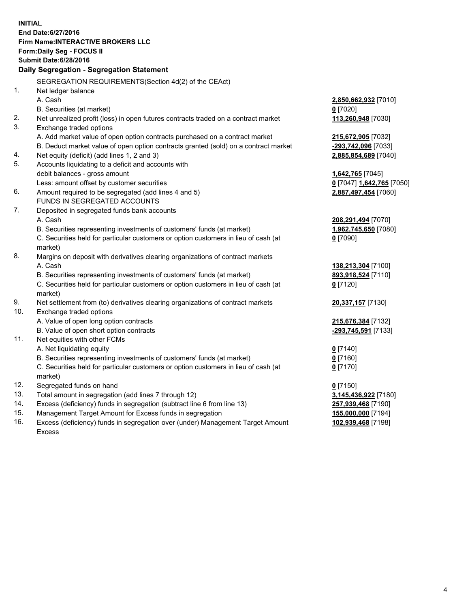**INITIAL End Date:6/27/2016 Firm Name:INTERACTIVE BROKERS LLC Form:Daily Seg - FOCUS II Submit Date:6/28/2016 Daily Segregation - Segregation Statement** SEGREGATION REQUIREMENTS(Section 4d(2) of the CEAct) 1. Net ledger balance A. Cash **2,850,662,932** [7010] B. Securities (at market) **0** [7020] 2. Net unrealized profit (loss) in open futures contracts traded on a contract market **113,260,948** [7030] 3. Exchange traded options A. Add market value of open option contracts purchased on a contract market **215,672,905** [7032] B. Deduct market value of open option contracts granted (sold) on a contract market **-293,742,096** [7033] 4. Net equity (deficit) (add lines 1, 2 and 3) **2,885,854,689** [7040] 5. Accounts liquidating to a deficit and accounts with debit balances - gross amount **1,642,765** [7045] Less: amount offset by customer securities **0** [7047] **1,642,765** [7050] 6. Amount required to be segregated (add lines 4 and 5) **2,887,497,454** [7060] FUNDS IN SEGREGATED ACCOUNTS 7. Deposited in segregated funds bank accounts A. Cash **208,291,494** [7070] B. Securities representing investments of customers' funds (at market) **1,962,745,650** [7080] C. Securities held for particular customers or option customers in lieu of cash (at market) **0** [7090] 8. Margins on deposit with derivatives clearing organizations of contract markets A. Cash **138,213,304** [7100] B. Securities representing investments of customers' funds (at market) **893,918,524** [7110] C. Securities held for particular customers or option customers in lieu of cash (at market) **0** [7120] 9. Net settlement from (to) derivatives clearing organizations of contract markets **20,337,157** [7130] 10. Exchange traded options A. Value of open long option contracts **215,676,384** [7132] B. Value of open short option contracts **-293,745,591** [7133] 11. Net equities with other FCMs A. Net liquidating equity **0** [7140] B. Securities representing investments of customers' funds (at market) **0** [7160] C. Securities held for particular customers or option customers in lieu of cash (at market) **0** [7170] 12. Segregated funds on hand **0** [7150] 13. Total amount in segregation (add lines 7 through 12) **3,145,436,922** [7180] 14. Excess (deficiency) funds in segregation (subtract line 6 from line 13) **257,939,468** [7190] 15. Management Target Amount for Excess funds in segregation **155,000,000** [7194] 16. Excess (deficiency) funds in segregation over (under) Management Target Amount Excess **102,939,468** [7198]